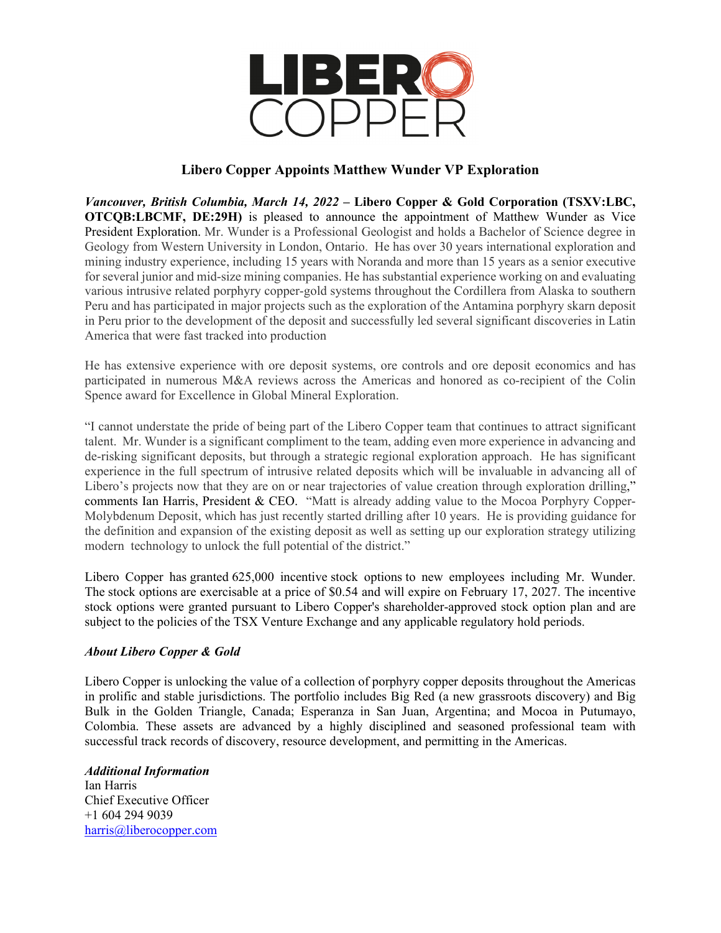

## **Libero Copper Appoints Matthew Wunder VP Exploration**

*Vancouver, British Columbia, March 14, 2022* **– Libero Copper & Gold Corporation (TSXV:LBC, OTCQB:LBCMF, DE:29H)** is pleased to announce the appointment of Matthew Wunder as Vice President Exploration. Mr. Wunder is a Professional Geologist and holds a Bachelor of Science degree in Geology from Western University in London, Ontario. He has over 30 years international exploration and mining industry experience, including 15 years with Noranda and more than 15 years as a senior executive for several junior and mid-size mining companies. He has substantial experience working on and evaluating various intrusive related porphyry copper-gold systems throughout the Cordillera from Alaska to southern Peru and has participated in major projects such as the exploration of the Antamina porphyry skarn deposit in Peru prior to the development of the deposit and successfully led several significant discoveries in Latin America that were fast tracked into production

He has extensive experience with ore deposit systems, ore controls and ore deposit economics and has participated in numerous M&A reviews across the Americas and honored as co-recipient of the Colin Spence award for Excellence in Global Mineral Exploration.

"I cannot understate the pride of being part of the Libero Copper team that continues to attract significant talent. Mr. Wunder is a significant compliment to the team, adding even more experience in advancing and de-risking significant deposits, but through a strategic regional exploration approach. He has significant experience in the full spectrum of intrusive related deposits which will be invaluable in advancing all of Libero's projects now that they are on or near trajectories of value creation through exploration drilling," comments Ian Harris, President & CEO. "Matt is already adding value to the Mocoa Porphyry Copper-Molybdenum Deposit, which has just recently started drilling after 10 years. He is providing guidance for the definition and expansion of the existing deposit as well as setting up our exploration strategy utilizing modern technology to unlock the full potential of the district."

Libero Copper has granted 625,000 incentive stock options to new employees including Mr. Wunder. The stock options are exercisable at a price of \$0.54 and will expire on February 17, 2027. The incentive stock options were granted pursuant to Libero Copper's shareholder-approved stock option plan and are subject to the policies of the TSX Venture Exchange and any applicable regulatory hold periods.

## *About Libero Copper & Gold*

Libero Copper is unlocking the value of a collection of porphyry copper deposits throughout the Americas in prolific and stable jurisdictions. The portfolio includes Big Red (a new grassroots discovery) and Big Bulk in the Golden Triangle, Canada; Esperanza in San Juan, Argentina; and Mocoa in Putumayo, Colombia. These assets are advanced by a highly disciplined and seasoned professional team with successful track records of discovery, resource development, and permitting in the Americas.

*Additional Information* Ian Harris Chief Executive Officer +1 604 294 9039 [harris@liberocopper.com](mailto:harris@liberocopper.com)